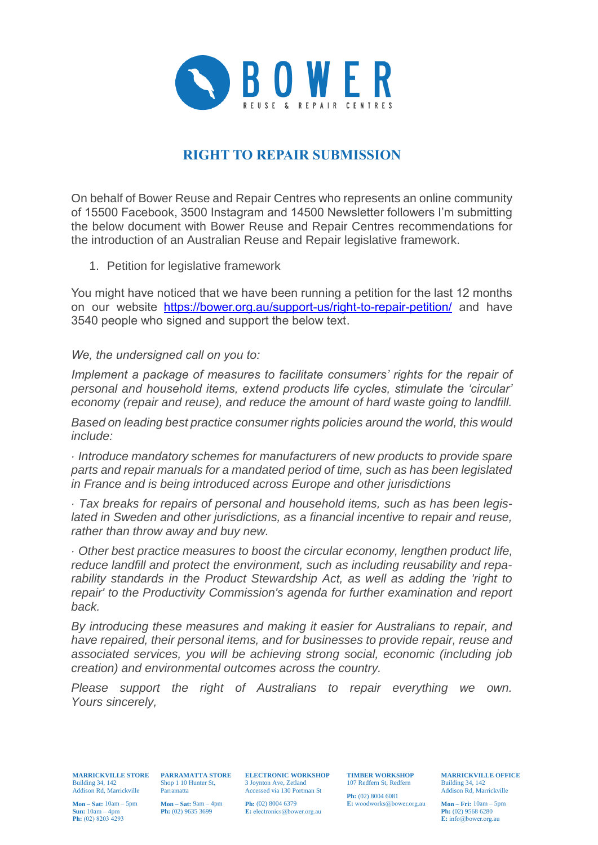

## **RIGHT TO REPAIR SUBMISSION**

On behalf of Bower Reuse and Repair Centres who represents an online community of 15500 Facebook, 3500 Instagram and 14500 Newsletter followers I'm submitting the below document with Bower Reuse and Repair Centres recommendations for the introduction of an Australian Reuse and Repair legislative framework.

1. Petition for legislative framework

You might have noticed that we have been running a petition for the last 12 months on our website <https://bower.org.au/support-us/right-to-repair-petition/> and have 3540 people who signed and support the below text.

*We, the undersigned call on you to:*

*Implement a package of measures to facilitate consumers' rights for the repair of personal and household items, extend products life cycles, stimulate the 'circular' economy (repair and reuse), and reduce the amount of hard waste going to landfill.*

*Based on leading best practice consumer rights policies around the world, this would include:*

*· Introduce mandatory schemes for manufacturers of new products to provide spare parts and repair manuals for a mandated period of time, such as has been legislated in France and is being introduced across Europe and other jurisdictions*

*· Tax breaks for repairs of personal and household items, such as has been legislated in Sweden and other jurisdictions, as a financial incentive to repair and reuse, rather than throw away and buy new.*

*· Other best practice measures to boost the circular economy, lengthen product life, reduce landfill and protect the environment, such as including reusability and reparability standards in the Product Stewardship Act, as well as adding the 'right to repair' to the Productivity Commission's agenda for further examination and report back.*

*By introducing these measures and making it easier for Australians to repair, and have repaired, their personal items, and for businesses to provide repair, reuse and associated services, you will be achieving strong social, economic (including job creation) and environmental outcomes across the country.*

*Please support the right of Australians to repair everything we own. Yours sincerely,*

**MARRICKVILLE STORE PARRAMATTA STORE ELECTRONIC WORKSHOP TIMBER WORKSHOP** Building 34, 142 Addison Rd, Marrickville Parramatta

**Mon – Sat:** 10am – 5pm **Sun:** 10am – 4pm **Ph:** (02) 8203 4293

Shop 1 10 Hunter St, Parramatta 3 Joynton Ave, Zetland Accessed via 130 Portman St

**Mon – Sat:** 9am – 4pm **Ph:** (02) 9635 3699

**Ph:** (02) 8004 6379 **E:** electronics@bower.org.au 107 Redfern St, Redfern

**Ph:** (02) 8004 6081 **E:** woodworks@bower.org.au **MARRICKVILLE OFFICE**  Building 34, 142 Addison Rd, Marrickville

**Mon – Fri:** 10am – 5pm **Ph:** (02) 9568 6280 **E:** info@bower.org.au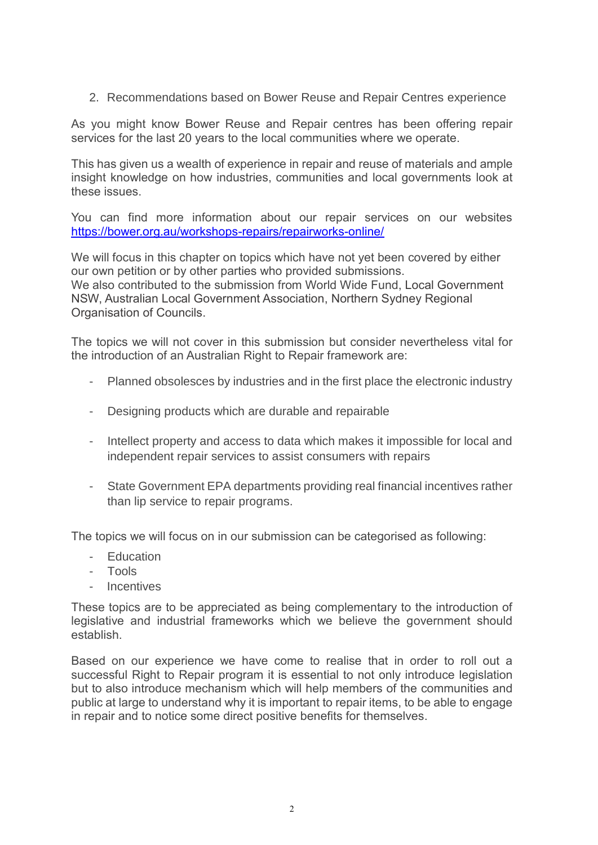2. Recommendations based on Bower Reuse and Repair Centres experience

As you might know Bower Reuse and Repair centres has been offering repair services for the last 20 years to the local communities where we operate.

This has given us a wealth of experience in repair and reuse of materials and ample insight knowledge on how industries, communities and local governments look at these issues.

You can find more information about our repair services on our websites <https://bower.org.au/workshops-repairs/repairworks-online/>

We will focus in this chapter on topics which have not yet been covered by either our own petition or by other parties who provided submissions. We also contributed to the submission from World Wide Fund, Local Government NSW, Australian Local Government Association, Northern Sydney Regional Organisation of Councils.

The topics we will not cover in this submission but consider nevertheless vital for the introduction of an Australian Right to Repair framework are:

- Planned obsolesces by industries and in the first place the electronic industry
- Designing products which are durable and repairable
- Intellect property and access to data which makes it impossible for local and independent repair services to assist consumers with repairs
- State Government EPA departments providing real financial incentives rather than lip service to repair programs.

The topics we will focus on in our submission can be categorised as following:

- Education
- Tools
- **Incentives**

These topics are to be appreciated as being complementary to the introduction of legislative and industrial frameworks which we believe the government should establish.

Based on our experience we have come to realise that in order to roll out a successful Right to Repair program it is essential to not only introduce legislation but to also introduce mechanism which will help members of the communities and public at large to understand why it is important to repair items, to be able to engage in repair and to notice some direct positive benefits for themselves.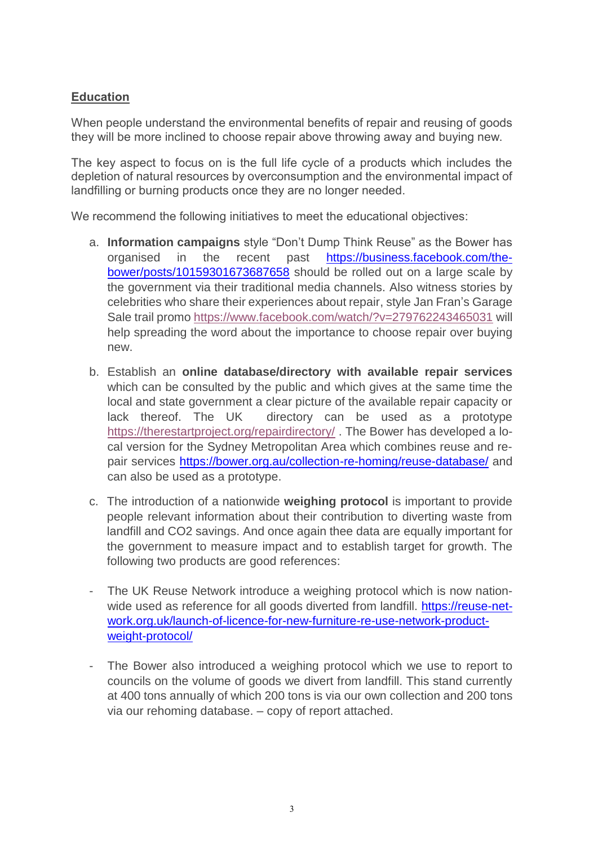## **Education**

When people understand the environmental benefits of repair and reusing of goods they will be more inclined to choose repair above throwing away and buying new.

The key aspect to focus on is the full life cycle of a products which includes the depletion of natural resources by overconsumption and the environmental impact of landfilling or burning products once they are no longer needed.

We recommend the following initiatives to meet the educational objectives:

- a. **Information campaigns** style "Don't Dump Think Reuse" as the Bower has organised in the recent past [https://business.facebook.com/the](https://business.facebook.com/thebower/posts/10159301673687658)[bower/posts/10159301673687658](https://business.facebook.com/thebower/posts/10159301673687658) should be rolled out on a large scale by the government via their traditional media channels. Also witness stories by celebrities who share their experiences about repair, style Jan Fran's Garage Sale trail promo<https://www.facebook.com/watch/?v=279762243465031> will help spreading the word about the importance to choose repair over buying new.
- b. Establish an **online database/directory with available repair services** which can be consulted by the public and which gives at the same time the local and state government a clear picture of the available repair capacity or lack thereof. The UK directory can be used as a prototype <https://therestartproject.org/repairdirectory/> . The Bower has developed a local version for the Sydney Metropolitan Area which combines reuse and repair services<https://bower.org.au/collection-re-homing/reuse-database/> and can also be used as a prototype.
- c. The introduction of a nationwide **weighing protocol** is important to provide people relevant information about their contribution to diverting waste from landfill and CO2 savings. And once again thee data are equally important for the government to measure impact and to establish target for growth. The following two products are good references:
- The UK Reuse Network introduce a weighing protocol which is now nationwide used as reference for all goods diverted from landfill. [https://reuse-net](https://reuse-network.org.uk/launch-of-licence-for-new-furniture-re-use-network-product-weight-protocol/)[work.org.uk/launch-of-licence-for-new-furniture-re-use-network-product](https://reuse-network.org.uk/launch-of-licence-for-new-furniture-re-use-network-product-weight-protocol/)[weight-protocol/](https://reuse-network.org.uk/launch-of-licence-for-new-furniture-re-use-network-product-weight-protocol/)
- The Bower also introduced a weighing protocol which we use to report to councils on the volume of goods we divert from landfill. This stand currently at 400 tons annually of which 200 tons is via our own collection and 200 tons via our rehoming database. – copy of report attached.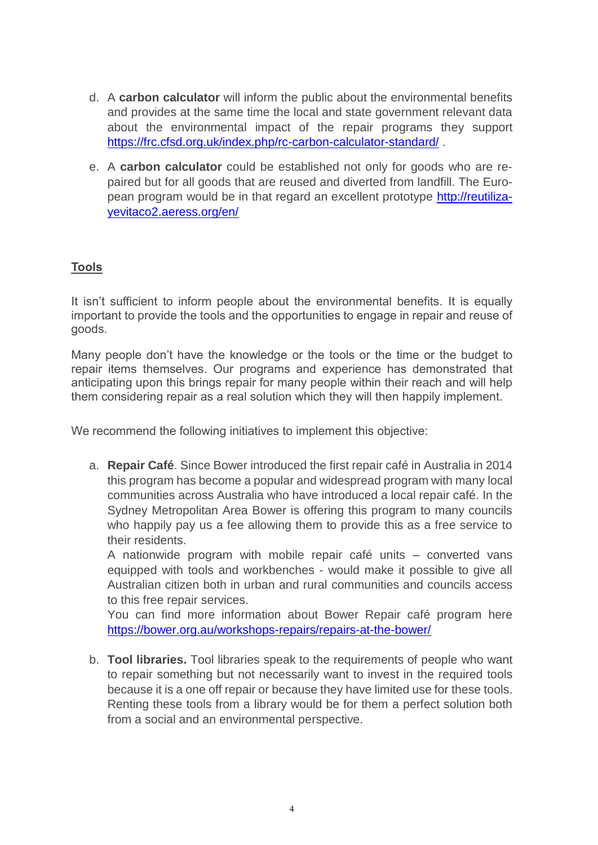- d. A **carbon calculator** will inform the public about the environmental benefits and provides at the same time the local and state government relevant data about the environmental impact of the repair programs they support <https://frc.cfsd.org.uk/index.php/rc-carbon-calculator-standard/>.
- e. A **carbon calculator** could be established not only for goods who are repaired but for all goods that are reused and diverted from landfill. The European program would be in that regard an excellent prototype [http://reutiliza](http://reutilizayevitaco2.aeress.org/en/)[yevitaco2.aeress.org/en/](http://reutilizayevitaco2.aeress.org/en/)

## **Tools**

It isn't sufficient to inform people about the environmental benefits. It is equally important to provide the tools and the opportunities to engage in repair and reuse of goods.

Many people don't have the knowledge or the tools or the time or the budget to repair items themselves. Our programs and experience has demonstrated that anticipating upon this brings repair for many people within their reach and will help them considering repair as a real solution which they will then happily implement.

We recommend the following initiatives to implement this objective:

a. **Repair Café**. Since Bower introduced the first repair café in Australia in 2014 this program has become a popular and widespread program with many local communities across Australia who have introduced a local repair café. In the Sydney Metropolitan Area Bower is offering this program to many councils who happily pay us a fee allowing them to provide this as a free service to their residents.

A nationwide program with mobile repair café units – converted vans equipped with tools and workbenches - would make it possible to give all Australian citizen both in urban and rural communities and councils access to this free repair services.

You can find more information about Bower Repair café program here <https://bower.org.au/workshops-repairs/repairs-at-the-bower/>

b. **Tool libraries.** Tool libraries speak to the requirements of people who want to repair something but not necessarily want to invest in the required tools because it is a one off repair or because they have limited use for these tools. Renting these tools from a library would be for them a perfect solution both from a social and an environmental perspective.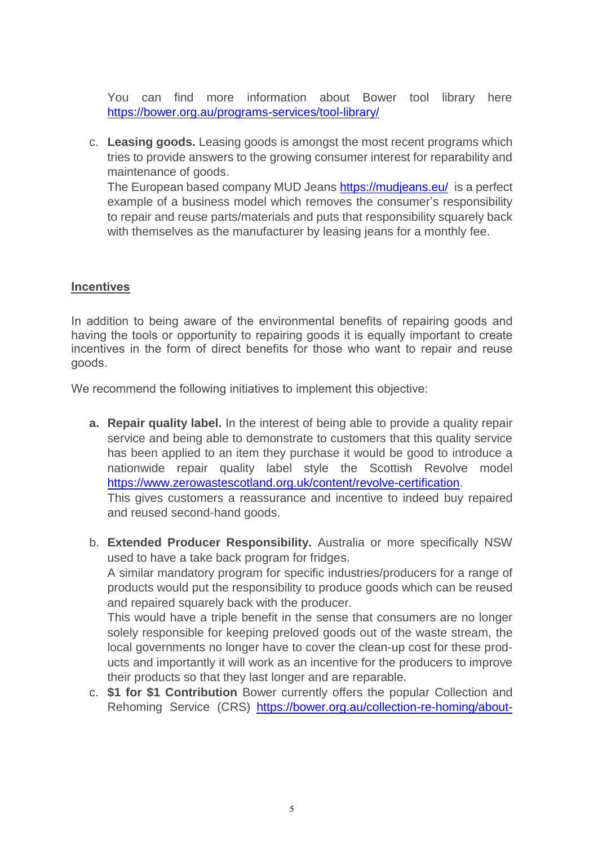You can find more information about Bower tool library here <https://bower.org.au/programs-services/tool-library/>

c. **Leasing goods.** Leasing goods is amongst the most recent programs which tries to provide answers to the growing consumer interest for reparability and maintenance of goods. The European based company MUD Jeans<https://mudjeans.eu/>is a perfect example of a business model which removes the consumer's responsibility to repair and reuse parts/materials and puts that responsibility squarely back with themselves as the manufacturer by leasing jeans for a monthly fee.

## **Incentives**

In addition to being aware of the environmental benefits of repairing goods and having the tools or opportunity to repairing goods it is equally important to create incentives in the form of direct benefits for those who want to repair and reuse goods.

We recommend the following initiatives to implement this objective:

**a. Repair quality label.** In the interest of being able to provide a quality repair service and being able to demonstrate to customers that this quality service has been applied to an item they purchase it would be good to introduce a nationwide repair quality label style the Scottish Revolve model [https://www.zerowastescotland.org.uk/content/revolve-certification.](https://www.zerowastescotland.org.uk/content/revolve-certification)

This gives customers a reassurance and incentive to indeed buy repaired and reused second-hand goods.

b. **Extended Producer Responsibility.** Australia or more specifically NSW used to have a take back program for fridges.

A similar mandatory program for specific industries/producers for a range of products would put the responsibility to produce goods which can be reused and repaired squarely back with the producer.

This would have a triple benefit in the sense that consumers are no longer solely responsible for keeping preloved goods out of the waste stream, the local governments no longer have to cover the clean-up cost for these products and importantly it will work as an incentive for the producers to improve their products so that they last longer and are reparable.

c. **\$1 for \$1 Contribution** Bower currently offers the popular Collection and Rehoming Service (CRS) [https://bower.org.au/collection-re-homing/about-](https://bower.org.au/collection-re-homing/about-collections/)